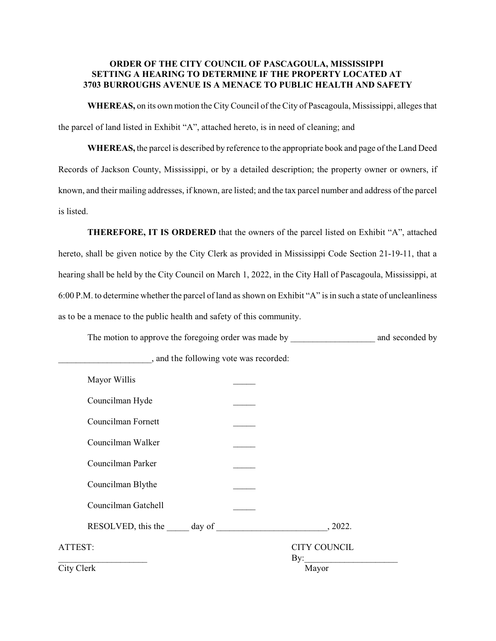## **ORDER OF THE CITY COUNCIL OF PASCAGOULA, MISSISSIPPI SETTING A HEARING TO DETERMINE IF THE PROPERTY LOCATED AT 3703 BURROUGHS AVENUE IS A MENACE TO PUBLIC HEALTH AND SAFETY**

**WHEREAS,** on its own motion the City Council of the City of Pascagoula, Mississippi, alleges that the parcel of land listed in Exhibit "A", attached hereto, is in need of cleaning; and

**WHEREAS,** the parcel is described by reference to the appropriate book and page of the Land Deed Records of Jackson County, Mississippi, or by a detailed description; the property owner or owners, if known, and their mailing addresses, if known, are listed; and the tax parcel number and address of the parcel is listed.

**THEREFORE, IT IS ORDERED** that the owners of the parcel listed on Exhibit "A", attached hereto, shall be given notice by the City Clerk as provided in Mississippi Code Section 21-19-11, that a hearing shall be held by the City Council on March 1, 2022, in the City Hall of Pascagoula, Mississippi, at 6:00 P.M. to determine whether the parcel of land as shown on Exhibit "A" is in such a state of uncleanliness as to be a menace to the public health and safety of this community.

The motion to approve the foregoing order was made by \_\_\_\_\_\_\_\_\_\_\_\_\_\_\_\_\_\_\_\_\_\_\_\_\_ and seconded by

| Mayor Willis        |                            |
|---------------------|----------------------------|
| Councilman Hyde     |                            |
| Councilman Fornett  |                            |
| Councilman Walker   |                            |
| Councilman Parker   |                            |
| Councilman Blythe   |                            |
| Councilman Gatchell |                            |
|                     | , 2022.                    |
| ATTEST:             | <b>CITY COUNCIL</b><br>By: |
| City Clerk          | Mayor                      |

\_\_\_\_\_\_\_\_\_\_\_\_\_\_\_\_\_\_\_\_\_, and the following vote was recorded: